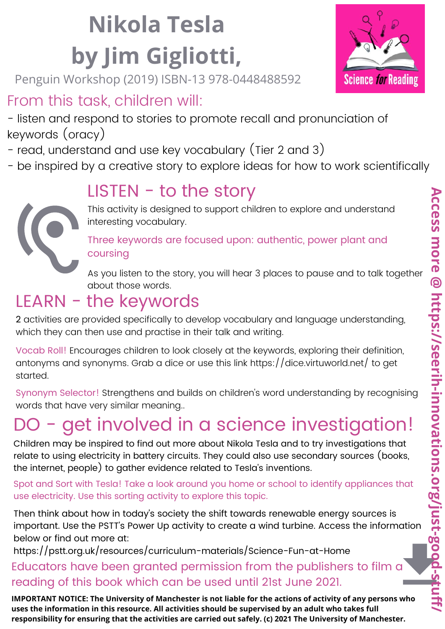#### **Nikola Tesla by Jim Gigliotti,**

Penguin Workshop (2019) ISBN-13 978-0448488592

#### From this task, children will:

- listen and respond to stories to promote recall and pronunciation of keywords (oracy)

- read, understand and use key vocabulary (Tier 2 and 3)
- be inspired by a creative story to explore ideas for how to work scientifically

#### $LISTEN - to the story$



This activity is designed to support children to explore and understand interesting vocabulary.

Three keywords are focused upon: authentic, power plant and coursing

As you listen to the story, you will hear 3 places to pause and to talk together about those words.

#### LEARN - the keywords

2 activities are provided specifically to develop vocabulary and language understanding, which they can then use and practise in their talk and writing.

Vocab Roll! Encourages children to look closely at the keywords, exploring their definition, antonyms and synonyms. Grab a dice or use this link https://dice.virtuworld.net/ to get started.

Synonym Selector! Strengthens and builds on children's word understanding by recognising words that have very similar meaning..

#### - get involved in a science investigation!

Children may be inspired to find out more about Nikola Tesla and to try investigations that relate to using electricity in battery circuits. They could also use secondary sources (books, the internet, people) to gather evidence related to Tesla's inventions.

Spot and Sort with Tesla! Take a look around you home or school to identify appliances that use electricity. Use this sorting activity to explore this topic.

Then think about how in today's society the shift towards renewable energy sources is important. Use the PSTT's Power Up activity to create a wind turbine. Access the information below or find out more at:

https://pstt.org.uk/resources/curriculum-materials/Science-Fun-at-Home

#### Educators have been granted permission from the publishers to film a reading of this book which can be used until 21st June 2021.

IMPORTANT NOTICE: The University of Manchester is not liable for the actions of activity of any persons who **uses the information in this resource. All activities should be supervised by an adult who takes full responsibility for ensuring that the activities are carried out safely. (c) 2021 The University of Manchester.**

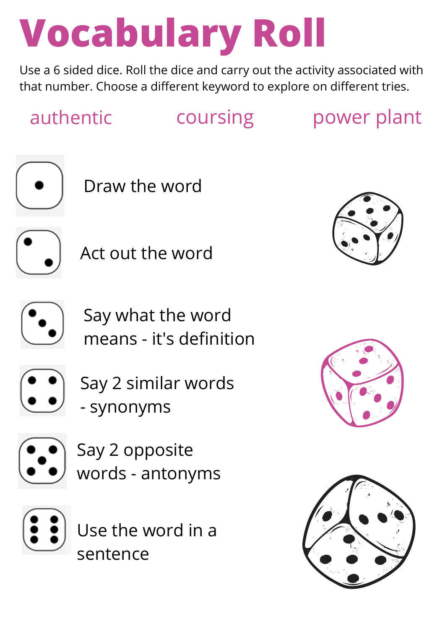#### **Vocabulary Roll**

Use a 6 sided dice. Roll the dice and carry out the activity associated with that number. Choose a different keyword to explore on different tries.

authentic coursing power plant



Draw the word



Act out the word



Say what the word means - it's definition



 $\bullet$  Say 2 similar words - synonyms



Say 2 opposite words - antonyms



Use the word in a sentence





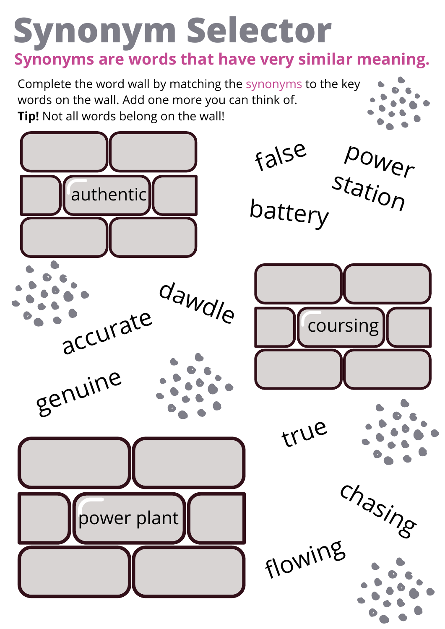#### **Synonym Selector Synonyms are words that have very similar meaning.**

Complete the word wall by matching the synonyms to the key words on the wall. Add one more you can think of. **Tip!** Not all words belong on the wall!

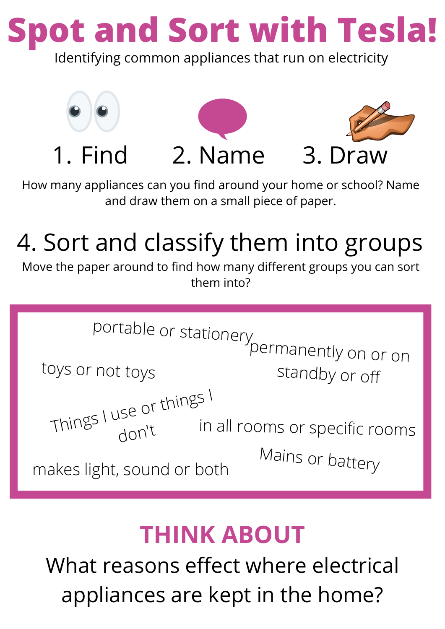**Spot and Sort with Tesla!**

Identifying common appliances that run on electricity



How many appliances can you find around your home or school? Name and draw them on a small piece of paper.

#### 4. Sort and classify them into groups

Move the paper around to find how many different groups you can sort them into?



#### **THINK ABOUT**

What reasons effect where electrical appliances are kept in the home?